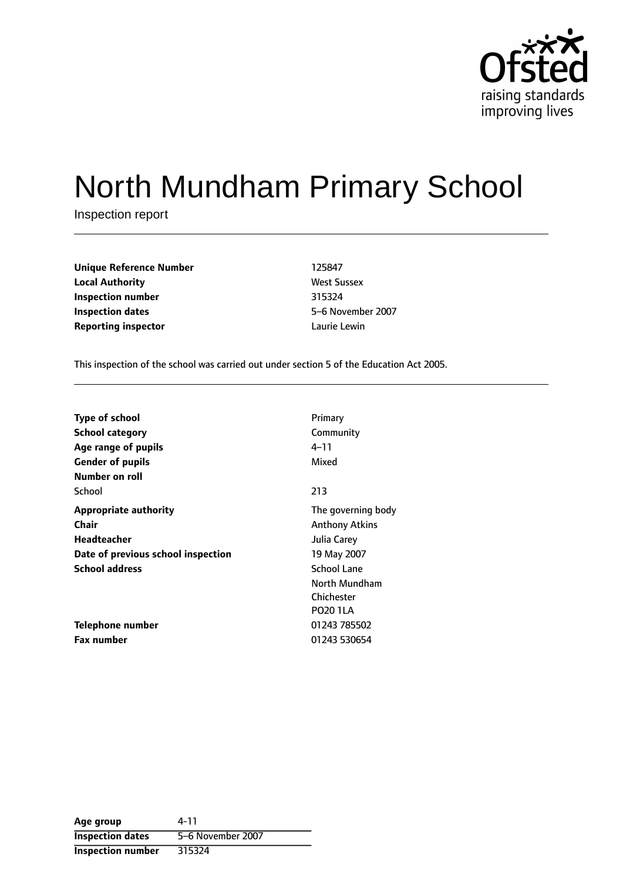

# North Mundham Primary School

Inspection report

| <b>Unique Reference Number</b> | 125847             |
|--------------------------------|--------------------|
| <b>Local Authority</b>         | <b>West Sussex</b> |
| Inspection number              | 315324             |
| Inspection dates               | 5-6 Novembe        |
| <b>Reporting inspector</b>     | Laurie Lewin       |

**West Sussex Inspection dates** 56 November 2007

This inspection of the school was carried out under section 5 of the Education Act 2005.

| <b>Type of school</b>              | Primary               |
|------------------------------------|-----------------------|
| <b>School category</b>             | Community             |
| Age range of pupils                | 4–11                  |
| <b>Gender of pupils</b>            | Mixed                 |
| Number on roll                     |                       |
| School                             | 213                   |
| <b>Appropriate authority</b>       | The governing body    |
| <b>Chair</b>                       | <b>Anthony Atkins</b> |
| Headteacher                        | Julia Carey           |
| Date of previous school inspection | 19 May 2007           |
| <b>School address</b>              | <b>School Lane</b>    |
|                                    | North Mundham         |
|                                    | Chichester            |
|                                    | <b>PO20 1LA</b>       |
| Telephone number                   | 01243 785502          |
| <b>Fax number</b>                  | 01243 530654          |

| Age group                | 4-11              |
|--------------------------|-------------------|
| <b>Inspection dates</b>  | 5-6 November 2007 |
| <b>Inspection number</b> | 315324            |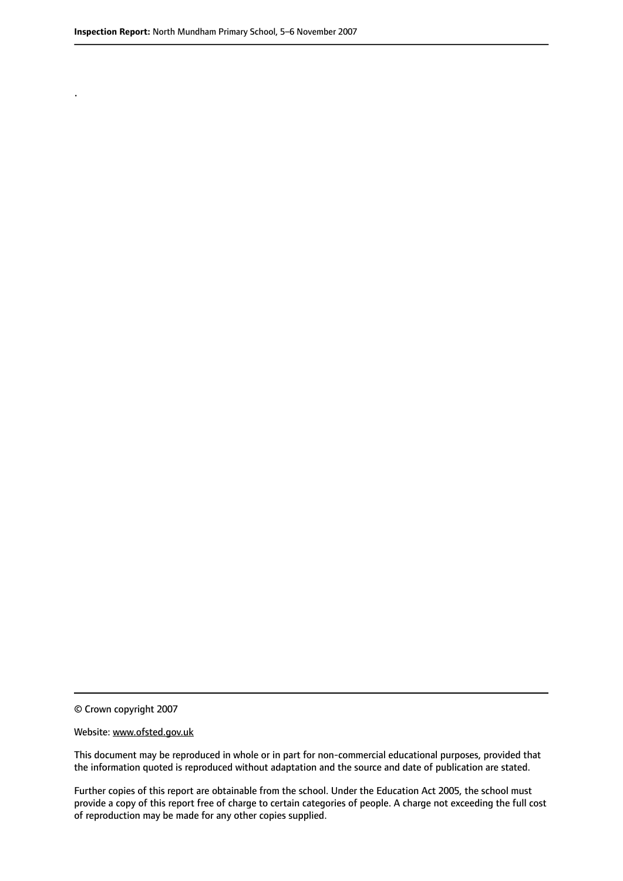.

© Crown copyright 2007

#### Website: www.ofsted.gov.uk

This document may be reproduced in whole or in part for non-commercial educational purposes, provided that the information quoted is reproduced without adaptation and the source and date of publication are stated.

Further copies of this report are obtainable from the school. Under the Education Act 2005, the school must provide a copy of this report free of charge to certain categories of people. A charge not exceeding the full cost of reproduction may be made for any other copies supplied.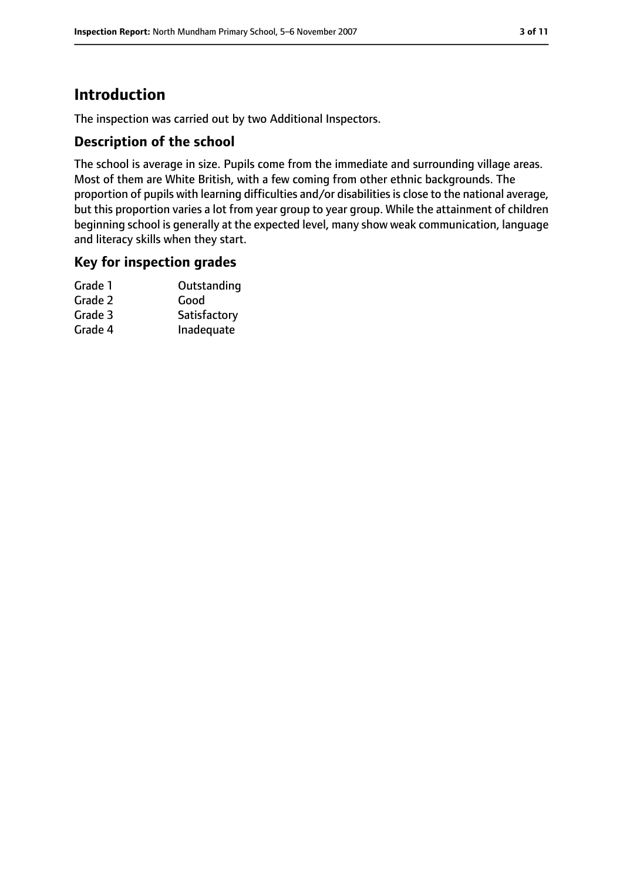# **Introduction**

The inspection was carried out by two Additional Inspectors.

#### **Description of the school**

The school is average in size. Pupils come from the immediate and surrounding village areas. Most of them are White British, with a few coming from other ethnic backgrounds. The proportion of pupils with learning difficulties and/or disabilities is close to the national average, but this proportion varies a lot from year group to year group. While the attainment of children beginning school is generally at the expected level, many show weak communication, language and literacy skills when they start.

#### **Key for inspection grades**

| Grade 1 | Outstanding  |
|---------|--------------|
| Grade 2 | Good         |
| Grade 3 | Satisfactory |
| Grade 4 | Inadequate   |
|         |              |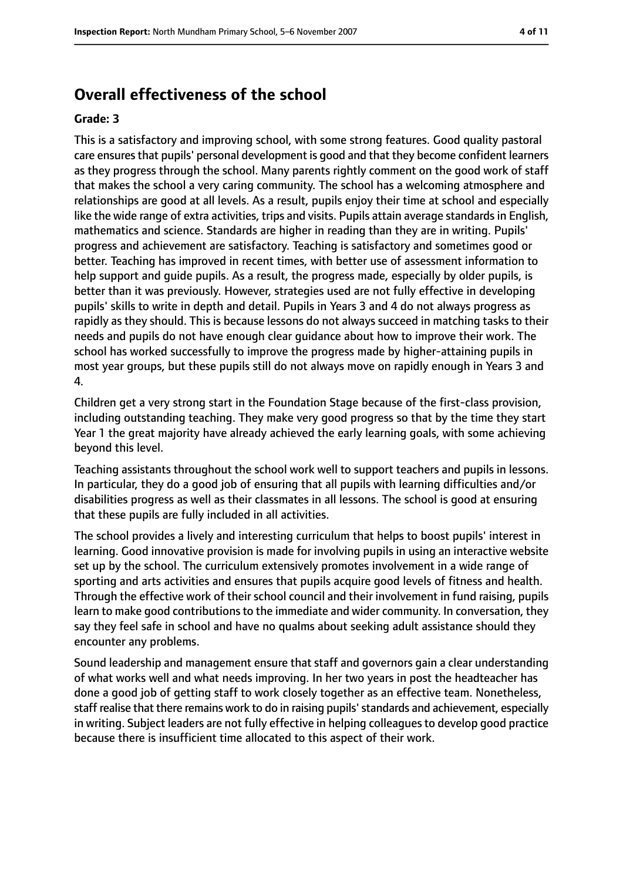## **Overall effectiveness of the school**

#### **Grade: 3**

This is a satisfactory and improving school, with some strong features. Good quality pastoral care ensures that pupils' personal development is good and that they become confident learners as they progress through the school. Many parents rightly comment on the good work of staff that makes the school a very caring community. The school has a welcoming atmosphere and relationships are good at all levels. As a result, pupils enjoy their time at school and especially like the wide range of extra activities, trips and visits. Pupils attain average standards in English, mathematics and science. Standards are higher in reading than they are in writing. Pupils' progress and achievement are satisfactory. Teaching is satisfactory and sometimes good or better. Teaching has improved in recent times, with better use of assessment information to help support and guide pupils. As a result, the progress made, especially by older pupils, is better than it was previously. However, strategies used are not fully effective in developing pupils' skills to write in depth and detail. Pupils in Years 3 and 4 do not always progress as rapidly as they should. This is because lessons do not always succeed in matching tasks to their needs and pupils do not have enough clear guidance about how to improve their work. The school has worked successfully to improve the progress made by higher-attaining pupils in most year groups, but these pupils still do not always move on rapidly enough in Years 3 and 4.

Children get a very strong start in the Foundation Stage because of the first-class provision, including outstanding teaching. They make very good progress so that by the time they start Year 1 the great majority have already achieved the early learning goals, with some achieving beyond this level.

Teaching assistants throughout the school work well to support teachers and pupils in lessons. In particular, they do a good job of ensuring that all pupils with learning difficulties and/or disabilities progress as well as their classmates in all lessons. The school is good at ensuring that these pupils are fully included in all activities.

The school provides a lively and interesting curriculum that helps to boost pupils' interest in learning. Good innovative provision is made for involving pupils in using an interactive website set up by the school. The curriculum extensively promotes involvement in a wide range of sporting and arts activities and ensures that pupils acquire good levels of fitness and health. Through the effective work of their school council and their involvement in fund raising, pupils learn to make good contributions to the immediate and wider community. In conversation, they say they feel safe in school and have no qualms about seeking adult assistance should they encounter any problems.

Sound leadership and management ensure that staff and governors gain a clear understanding of what works well and what needs improving. In her two years in post the headteacher has done a good job of getting staff to work closely together as an effective team. Nonetheless, staff realise that there remains work to do in raising pupils'standards and achievement, especially in writing. Subject leaders are not fully effective in helping colleagues to develop good practice because there is insufficient time allocated to this aspect of their work.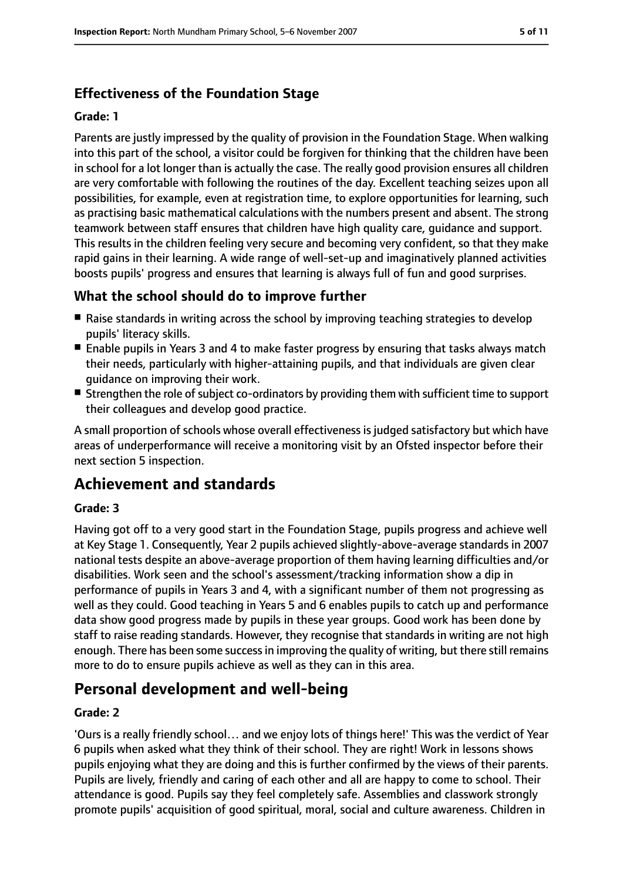## **Effectiveness of the Foundation Stage**

#### **Grade: 1**

Parents are justly impressed by the quality of provision in the Foundation Stage. When walking into this part of the school, a visitor could be forgiven for thinking that the children have been in school for a lot longer than is actually the case. The really good provision ensures all children are very comfortable with following the routines of the day. Excellent teaching seizes upon all possibilities, for example, even at registration time, to explore opportunities for learning, such as practising basic mathematical calculations with the numbers present and absent. The strong teamwork between staff ensures that children have high quality care, guidance and support. This results in the children feeling very secure and becoming very confident, so that they make rapid gains in their learning. A wide range of well-set-up and imaginatively planned activities boosts pupils' progress and ensures that learning is always full of fun and good surprises.

#### **What the school should do to improve further**

- Raise standards in writing across the school by improving teaching strategies to develop pupils' literacy skills.
- Enable pupils in Years 3 and 4 to make faster progress by ensuring that tasks always match their needs, particularly with higher-attaining pupils, and that individuals are given clear guidance on improving their work.
- Strengthen the role of subject co-ordinators by providing them with sufficient time to support their colleagues and develop good practice.

A small proportion of schools whose overall effectiveness is judged satisfactory but which have areas of underperformance will receive a monitoring visit by an Ofsted inspector before their next section 5 inspection.

## **Achievement and standards**

#### **Grade: 3**

Having got off to a very good start in the Foundation Stage, pupils progress and achieve well at Key Stage 1. Consequently, Year 2 pupils achieved slightly-above-average standards in 2007 national tests despite an above-average proportion of them having learning difficulties and/or disabilities. Work seen and the school's assessment/tracking information show a dip in performance of pupils in Years 3 and 4, with a significant number of them not progressing as well as they could. Good teaching in Years 5 and 6 enables pupils to catch up and performance data show good progress made by pupils in these year groups. Good work has been done by staff to raise reading standards. However, they recognise that standards in writing are not high enough. There has been some successin improving the quality of writing, but there still remains more to do to ensure pupils achieve as well as they can in this area.

## **Personal development and well-being**

#### **Grade: 2**

'Ours is a really friendly school… and we enjoy lots of things here!' This was the verdict of Year 6 pupils when asked what they think of their school. They are right! Work in lessons shows pupils enjoying what they are doing and this is further confirmed by the views of their parents. Pupils are lively, friendly and caring of each other and all are happy to come to school. Their attendance is good. Pupils say they feel completely safe. Assemblies and classwork strongly promote pupils' acquisition of good spiritual, moral, social and culture awareness. Children in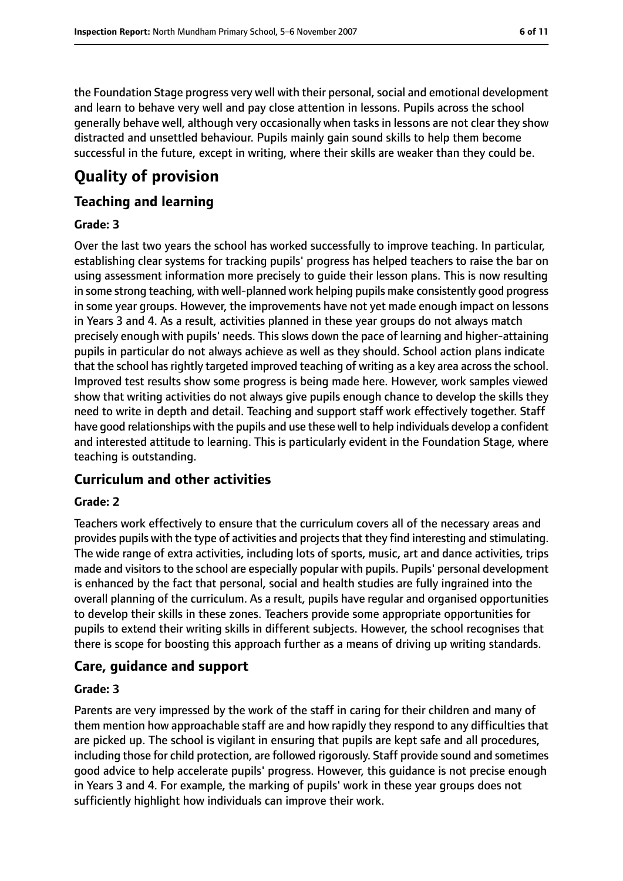the Foundation Stage progress very well with their personal, social and emotional development and learn to behave very well and pay close attention in lessons. Pupils across the school generally behave well, although very occasionally when tasks in lessons are not clear they show distracted and unsettled behaviour. Pupils mainly gain sound skills to help them become successful in the future, except in writing, where their skills are weaker than they could be.

# **Quality of provision**

#### **Teaching and learning**

#### **Grade: 3**

Over the last two years the school has worked successfully to improve teaching. In particular, establishing clear systems for tracking pupils' progress has helped teachers to raise the bar on using assessment information more precisely to guide their lesson plans. This is now resulting in some strong teaching, with well-planned work helping pupils make consistently good progress in some year groups. However, the improvements have not yet made enough impact on lessons in Years 3 and 4. As a result, activities planned in these year groups do not always match precisely enough with pupils' needs. This slows down the pace of learning and higher-attaining pupils in particular do not always achieve as well as they should. School action plans indicate that the school hasrightly targeted improved teaching of writing as a key area acrossthe school. Improved test results show some progress is being made here. However, work samples viewed show that writing activities do not always give pupils enough chance to develop the skills they need to write in depth and detail. Teaching and support staff work effectively together. Staff have good relationships with the pupils and use these well to help individuals develop a confident and interested attitude to learning. This is particularly evident in the Foundation Stage, where teaching is outstanding.

#### **Curriculum and other activities**

#### **Grade: 2**

Teachers work effectively to ensure that the curriculum covers all of the necessary areas and provides pupils with the type of activities and projects that they find interesting and stimulating. The wide range of extra activities, including lots of sports, music, art and dance activities, trips made and visitors to the school are especially popular with pupils. Pupils' personal development is enhanced by the fact that personal, social and health studies are fully ingrained into the overall planning of the curriculum. As a result, pupils have regular and organised opportunities to develop their skills in these zones. Teachers provide some appropriate opportunities for pupils to extend their writing skills in different subjects. However, the school recognises that there is scope for boosting this approach further as a means of driving up writing standards.

#### **Care, guidance and support**

#### **Grade: 3**

Parents are very impressed by the work of the staff in caring for their children and many of them mention how approachable staff are and how rapidly they respond to any difficulties that are picked up. The school is vigilant in ensuring that pupils are kept safe and all procedures, including those for child protection, are followed rigorously. Staff provide sound and sometimes good advice to help accelerate pupils' progress. However, this guidance is not precise enough in Years 3 and 4. For example, the marking of pupils' work in these year groups does not sufficiently highlight how individuals can improve their work.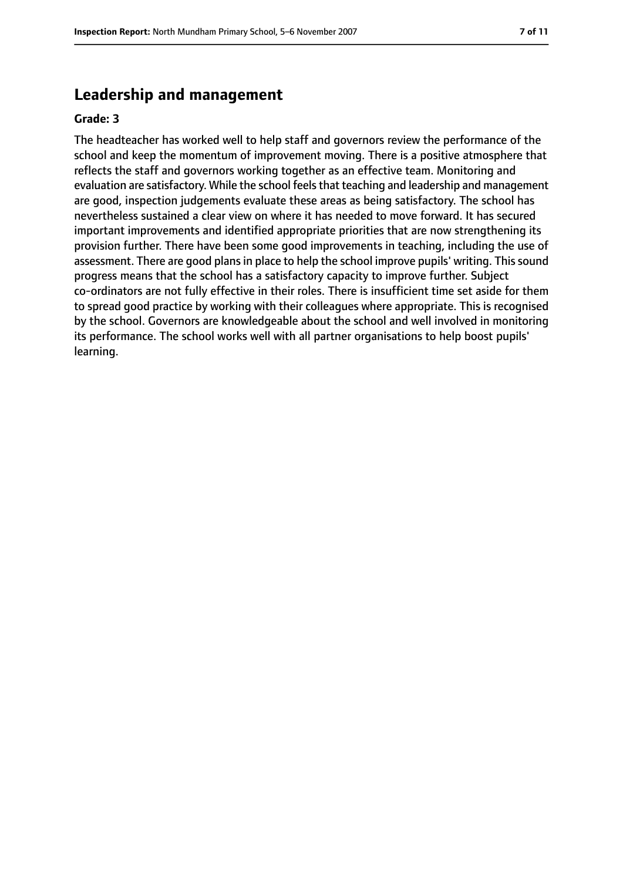## **Leadership and management**

#### **Grade: 3**

The headteacher has worked well to help staff and governors review the performance of the school and keep the momentum of improvement moving. There is a positive atmosphere that reflects the staff and governors working together as an effective team. Monitoring and evaluation are satisfactory. While the school feels that teaching and leadership and management are good, inspection judgements evaluate these areas as being satisfactory. The school has nevertheless sustained a clear view on where it has needed to move forward. It has secured important improvements and identified appropriate priorities that are now strengthening its provision further. There have been some good improvements in teaching, including the use of assessment. There are good plans in place to help the school improve pupils' writing. This sound progress means that the school has a satisfactory capacity to improve further. Subject co-ordinators are not fully effective in their roles. There is insufficient time set aside for them to spread good practice by working with their colleagues where appropriate. This is recognised by the school. Governors are knowledgeable about the school and well involved in monitoring its performance. The school works well with all partner organisations to help boost pupils' learning.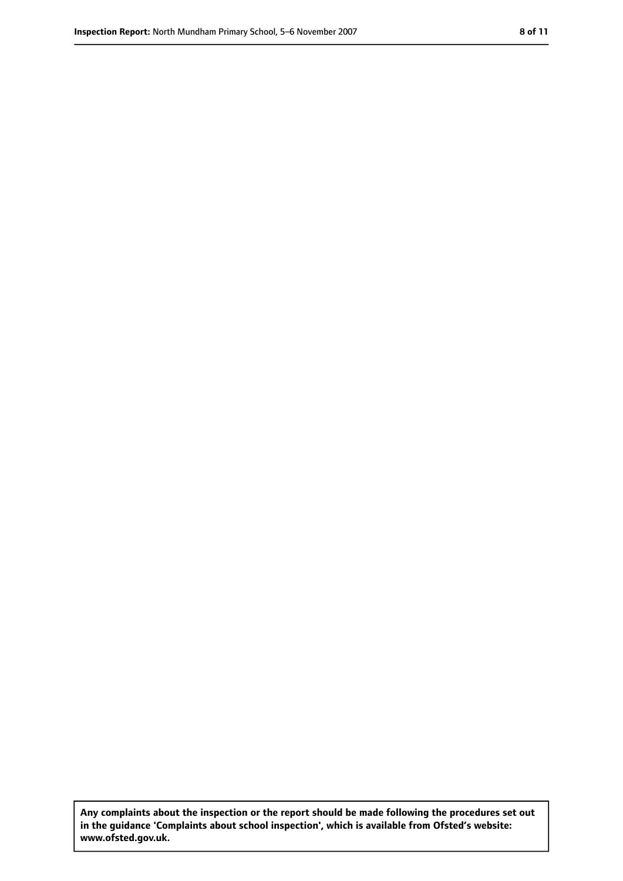**Any complaints about the inspection or the report should be made following the procedures set out in the guidance 'Complaints about school inspection', which is available from Ofsted's website: www.ofsted.gov.uk.**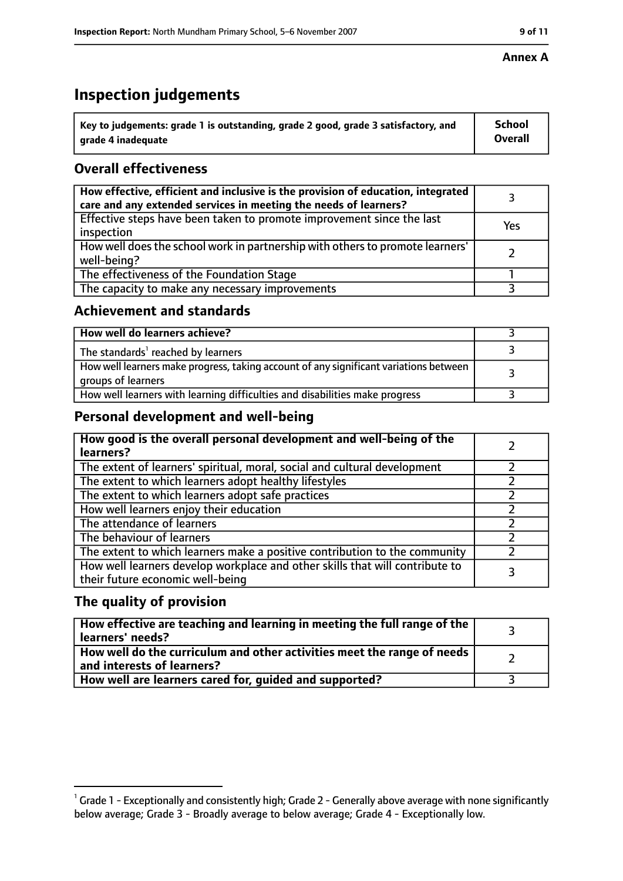## **Inspection judgements**

| $^{\backprime}$ Key to judgements: grade 1 is outstanding, grade 2 good, grade 3 satisfactory, and | <b>School</b>  |
|----------------------------------------------------------------------------------------------------|----------------|
| arade 4 inadequate                                                                                 | <b>Overall</b> |

#### **Overall effectiveness**

| How effective, efficient and inclusive is the provision of education, integrated<br>care and any extended services in meeting the needs of learners? |     |
|------------------------------------------------------------------------------------------------------------------------------------------------------|-----|
| Effective steps have been taken to promote improvement since the last<br>inspection                                                                  | Yes |
| How well does the school work in partnership with others to promote learners'<br>well-being?                                                         |     |
| The effectiveness of the Foundation Stage                                                                                                            |     |
| The capacity to make any necessary improvements                                                                                                      |     |

#### **Achievement and standards**

| How well do learners achieve?                                                                               |  |
|-------------------------------------------------------------------------------------------------------------|--|
| The standards <sup>1</sup> reached by learners                                                              |  |
| How well learners make progress, taking account of any significant variations between<br>groups of learners |  |
| How well learners with learning difficulties and disabilities make progress                                 |  |

#### **Personal development and well-being**

| How good is the overall personal development and well-being of the<br>learners?                                  |  |
|------------------------------------------------------------------------------------------------------------------|--|
| The extent of learners' spiritual, moral, social and cultural development                                        |  |
| The extent to which learners adopt healthy lifestyles                                                            |  |
| The extent to which learners adopt safe practices                                                                |  |
| How well learners enjoy their education                                                                          |  |
| The attendance of learners                                                                                       |  |
| The behaviour of learners                                                                                        |  |
| The extent to which learners make a positive contribution to the community                                       |  |
| How well learners develop workplace and other skills that will contribute to<br>their future economic well-being |  |

#### **The quality of provision**

| How effective are teaching and learning in meeting the full range of the<br>learners' needs?          |  |
|-------------------------------------------------------------------------------------------------------|--|
| How well do the curriculum and other activities meet the range of needs<br>and interests of learners? |  |
| How well are learners cared for, guided and supported?                                                |  |

 $^1$  Grade 1 - Exceptionally and consistently high; Grade 2 - Generally above average with none significantly below average; Grade 3 - Broadly average to below average; Grade 4 - Exceptionally low.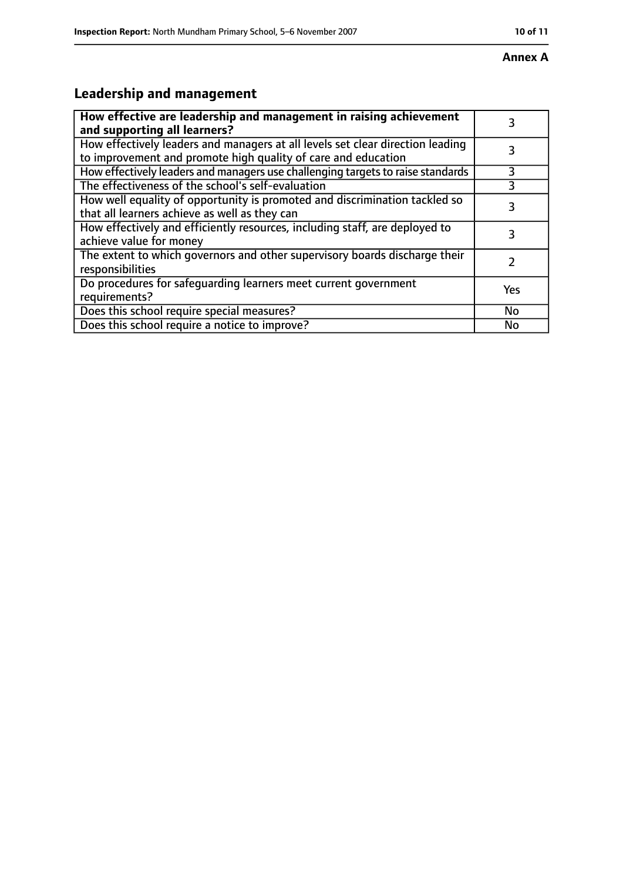# **Leadership and management**

| How effective are leadership and management in raising achievement<br>and supporting all learners?                                              | 3   |
|-------------------------------------------------------------------------------------------------------------------------------------------------|-----|
| How effectively leaders and managers at all levels set clear direction leading<br>to improvement and promote high quality of care and education |     |
| How effectively leaders and managers use challenging targets to raise standards                                                                 | 3   |
| The effectiveness of the school's self-evaluation                                                                                               |     |
| How well equality of opportunity is promoted and discrimination tackled so<br>that all learners achieve as well as they can                     | 3   |
| How effectively and efficiently resources, including staff, are deployed to<br>achieve value for money                                          | 3   |
| The extent to which governors and other supervisory boards discharge their<br>responsibilities                                                  |     |
| Do procedures for safequarding learners meet current government<br>requirements?                                                                | Yes |
| Does this school require special measures?                                                                                                      | No  |
| Does this school require a notice to improve?                                                                                                   | No  |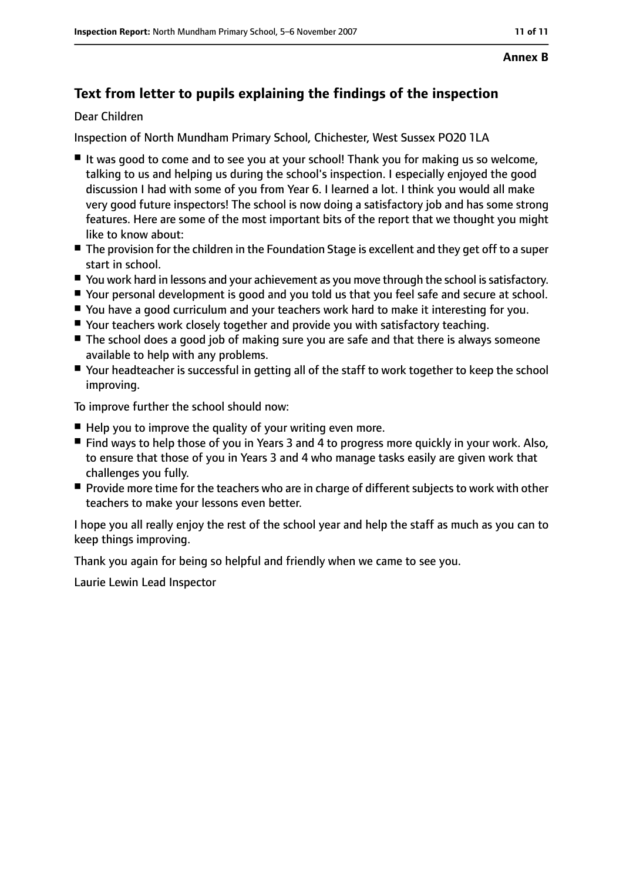## **Text from letter to pupils explaining the findings of the inspection**

#### Dear Children

Inspection of North Mundham Primary School, Chichester, West Sussex PO20 1LA

- It was good to come and to see you at your school! Thank you for making us so welcome, talking to us and helping us during the school's inspection. I especially enjoyed the good discussion I had with some of you from Year 6. I learned a lot. I think you would all make very good future inspectors! The school is now doing a satisfactory job and has some strong features. Here are some of the most important bits of the report that we thought you might like to know about:
- The provision for the children in the Foundation Stage is excellent and they get off to a super start in school.
- You work hard in lessons and your achievement as you move through the school is satisfactory.
- Your personal development is good and you told us that you feel safe and secure at school.
- You have a good curriculum and your teachers work hard to make it interesting for you.
- Your teachers work closely together and provide you with satisfactory teaching.
- The school does a good job of making sure you are safe and that there is always someone available to help with any problems.
- Your headteacher is successful in getting all of the staff to work together to keep the school improving.

To improve further the school should now:

- Help you to improve the quality of your writing even more.
- Find ways to help those of you in Years 3 and 4 to progress more quickly in your work. Also, to ensure that those of you in Years 3 and 4 who manage tasks easily are given work that challenges you fully.
- Provide more time for the teachers who are in charge of different subjects to work with other teachers to make your lessons even better.

I hope you all really enjoy the rest of the school year and help the staff as much as you can to keep things improving.

Thank you again for being so helpful and friendly when we came to see you.

Laurie Lewin Lead Inspector